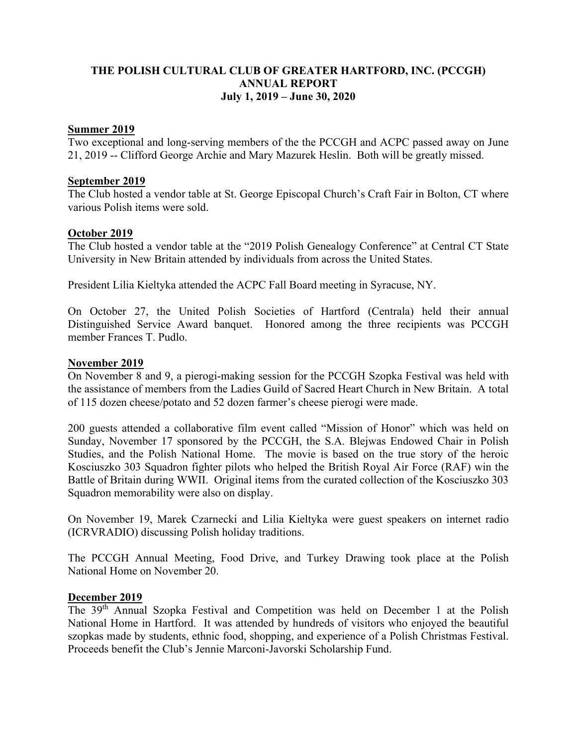# **THE POLISH CULTURAL CLUB OF GREATER HARTFORD, INC. (PCCGH) ANNUAL REPORT July 1, 2019 – June 30, 2020**

### **Summer 2019**

Two exceptional and long-serving members of the the PCCGH and ACPC passed away on June 21, 2019 -- Clifford George Archie and Mary Mazurek Heslin. Both will be greatly missed.

#### **September 2019**

The Club hosted a vendor table at St. George Episcopal Church's Craft Fair in Bolton, CT where various Polish items were sold.

## **October 2019**

The Club hosted a vendor table at the "2019 Polish Genealogy Conference" at Central CT State University in New Britain attended by individuals from across the United States.

President Lilia Kieltyka attended the ACPC Fall Board meeting in Syracuse, NY.

On October 27, the United Polish Societies of Hartford (Centrala) held their annual Distinguished Service Award banquet. Honored among the three recipients was PCCGH member Frances T. Pudlo.

#### **November 2019**

On November 8 and 9, a pierogi-making session for the PCCGH Szopka Festival was held with the assistance of members from the Ladies Guild of Sacred Heart Church in New Britain. A total of 115 dozen cheese/potato and 52 dozen farmer's cheese pierogi were made.

200 guests attended a collaborative film event called "Mission of Honor" which was held on Sunday, November 17 sponsored by the PCCGH, the S.A. Blejwas Endowed Chair in Polish Studies, and the Polish National Home. The movie is based on the true story of the heroic Kosciuszko 303 Squadron fighter pilots who helped the British Royal Air Force (RAF) win the Battle of Britain during WWII. Original items from the curated collection of the Kosciuszko 303 Squadron memorability were also on display.

On November 19, Marek Czarnecki and Lilia Kieltyka were guest speakers on internet radio (ICRVRADIO) discussing Polish holiday traditions.

The PCCGH Annual Meeting, Food Drive, and Turkey Drawing took place at the Polish National Home on November 20.

## **December 2019**

The 39th Annual Szopka Festival and Competition was held on December 1 at the Polish National Home in Hartford. It was attended by hundreds of visitors who enjoyed the beautiful szopkas made by students, ethnic food, shopping, and experience of a Polish Christmas Festival. Proceeds benefit the Club's Jennie Marconi-Javorski Scholarship Fund.